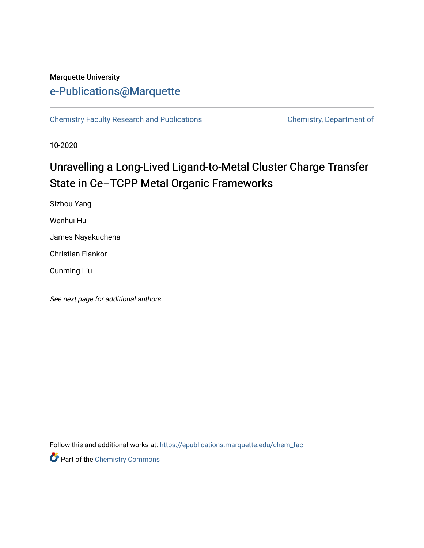## Marquette University [e-Publications@Marquette](https://epublications.marquette.edu/)

[Chemistry Faculty Research and Publications](https://epublications.marquette.edu/chem_fac) **Chemistry, Department of** 

10-2020

# Unravelling a Long-Lived Ligand-to-Metal Cluster Charge Transfer State in Ce–TCPP Metal Organic Frameworks

Sizhou Yang Wenhui Hu James Nayakuchena

Christian Fiankor

Cunming Liu

See next page for additional authors

Follow this and additional works at: [https://epublications.marquette.edu/chem\\_fac](https://epublications.marquette.edu/chem_fac?utm_source=epublications.marquette.edu%2Fchem_fac%2F1028&utm_medium=PDF&utm_campaign=PDFCoverPages) 

**Part of the Chemistry Commons**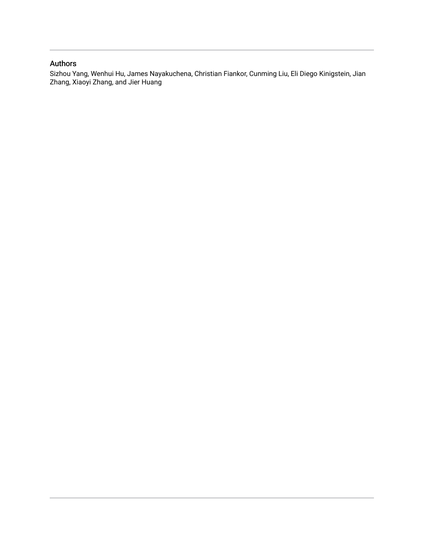#### Authors

Sizhou Yang, Wenhui Hu, James Nayakuchena, Christian Fiankor, Cunming Liu, Eli Diego Kinigstein, Jian Zhang, Xiaoyi Zhang, and Jier Huang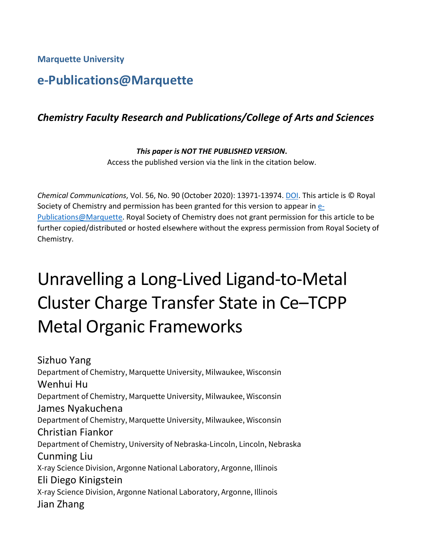**Marquette University**

# **e-Publications@Marquette**

## *Chemistry Faculty Research and Publications/College of Arts and Sciences*

*This paper is NOT THE PUBLISHED VERSION***.**  Access the published version via the link in the citation below.

*Chemical Communications*, Vol. 56, No. 90 (October 2020): 13971-13974[. DOI.](https://doi.org/10.1039/D0CC04116E) This article is © Royal Society of Chemistry and permission has been granted for this version to appear in [e-](http://epublications.marquette.edu/)[Publications@Marquette.](http://epublications.marquette.edu/) Royal Society of Chemistry does not grant permission for this article to be further copied/distributed or hosted elsewhere without the express permission from Royal Society of Chemistry.

# Unravelling a Long-Lived Ligand-to-Metal Cluster Charge Transfer State in Ce–TCPP Metal Organic Frameworks

Sizhuo Yang Department of Chemistry, Marquette University, Milwaukee, Wisconsin Wenhui Hu Department of Chemistry, Marquette University, Milwaukee, Wisconsin James Nyakuchena Department of Chemistry, Marquette University, Milwaukee, Wisconsin Christian Fiankor Department of Chemistry, University of Nebraska-Lincoln, Lincoln, Nebraska Cunming Liu X-ray Science Division, Argonne National Laboratory, Argonne, Illinois Eli Diego Kinigstein X-ray Science Division, Argonne National Laboratory, Argonne, Illinois Jian Zhang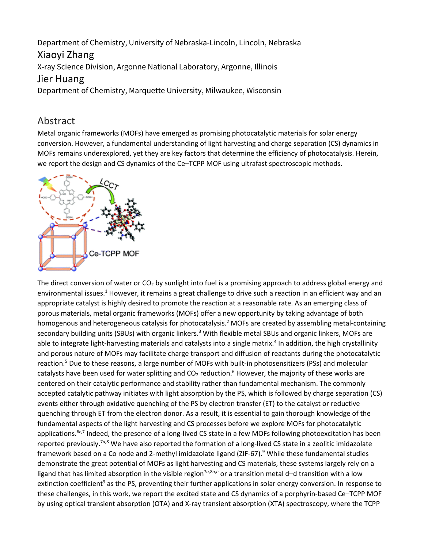Department of Chemistry, University of Nebraska-Lincoln, Lincoln, Nebraska Xiaoyi Zhang

X-ray Science Division, Argonne National Laboratory, Argonne, Illinois

### Jier Huang

Department of Chemistry, Marquette University, Milwaukee, Wisconsin

### Abstract

Metal organic frameworks (MOFs) have emerged as promising photocatalytic materials for solar energy conversion. However, a fundamental understanding of light harvesting and charge separation (CS) dynamics in MOFs remains underexplored, yet they are key factors that determine the efficiency of photocatalysis. Herein, we report the design and CS dynamics of the Ce–TCPP MOF using ultrafast spectroscopic methods.



The direct conversion of water or  $CO<sub>2</sub>$  by sunlight into fuel is a promising approach to address global energy and environmental issues.<sup>1</sup> However, it remains a great challenge to drive such a reaction in an efficient way and an appropriate catalyst is highly desired to promote the reaction at a reasonable rate. As an emerging class of porous materials, metal organic frameworks (MOFs) offer a new opportunity by taking advantage of both homogenous and heterogeneous catalysis for photocatalysis.<sup>2</sup> MOFs are created by assembling metal-containing secondary building units (SBUs) with organic linkers.<sup>3</sup> With flexible metal SBUs and organic linkers, MOFs are able to integrate light-harvesting materials and catalysts into a single matrix.<sup>4</sup> In addition, the high crystallinity and porous nature of MOFs may facilitate charge transport and diffusion of reactants during the photocatalytic reaction.<sup>5</sup> Due to these reasons, a large number of MOFs with built-in photosensitizers (PSs) and molecular catalysts have been used for water splitting and  $CO<sub>2</sub>$  reduction.<sup>6</sup> However, the majority of these works are centered on their catalytic performance and stability rather than fundamental mechanism. The commonly accepted catalytic pathway initiates with light absorption by the PS, which is followed by charge separation (CS) events either through oxidative quenching of the PS by electron transfer (ET) to the catalyst or reductive quenching through ET from the electron donor. As a result, it is essential to gain thorough knowledge of the fundamental aspects of the light harvesting and CS processes before we explore MOFs for photocatalytic applications.<sup>6c,7</sup> Indeed, the presence of a long-lived CS state in a few MOFs following photoexcitation has been reported previously.7*<sup>a</sup>*,8 We have also reported the formation of a long-lived CS state in a zeolitic imidazolate framework based on a Co node and 2-methyl imidazolate ligand (ZIF-67).<sup>9</sup> While these fundamental studies demonstrate the great potential of MOFs as light harvesting and CS materials, these systems largely rely on a ligand that has limited absorption in the visible region<sup>7*a*,8*a*, $e$  or a transition metal d–d transition with a low</sup> extinction coefficient<sup>9</sup> as the PS, preventing their further applications in solar energy conversion. In response to these challenges, in this work, we report the excited state and CS dynamics of a porphyrin-based Ce–TCPP MOF by using optical transient absorption (OTA) and X-ray transient absorption (XTA) spectroscopy, where the TCPP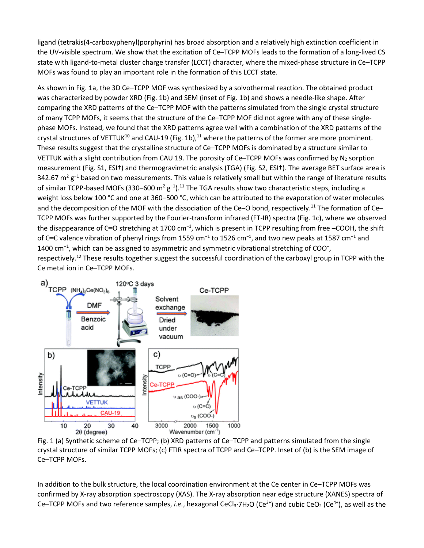ligand (tetrakis(4-carboxyphenyl)porphyrin) has broad absorption and a relatively high extinction coefficient in the UV-visible spectrum. We show that the excitation of Ce–TCPP MOFs leads to the formation of a long-lived CS state with ligand-to-metal cluster charge transfer (LCCT) character, where the mixed-phase structure in Ce–TCPP MOFs was found to play an important role in the formation of this LCCT state.

As shown in Fig. 1a, the 3D Ce–TCPP MOF was synthesized by a solvothermal reaction. The obtained product was characterized by powder XRD (Fig. 1b) and SEM (inset of Fig. 1b) and shows a needle-like shape. After comparing the XRD patterns of the Ce–TCPP MOF with the patterns simulated from the single crystal structure of many TCPP MOFs, it seems that the structure of the Ce–TCPP MOF did not agree with any of these singlephase MOFs. Instead, we found that the XRD patterns agree well with a combination of the XRD patterns of the crystal structures of VETTUK<sup>10</sup> and CAU-19 (Fig. 1b),<sup>11</sup> where the patterns of the former are more prominent. These results suggest that the crystalline structure of Ce–TCPP MOFs is dominated by a structure similar to VETTUK with a slight contribution from CAU 19. The porosity of Ce–TCPP MOFs was confirmed by  $N_2$  sorption measurement (Fig. S1, ESI†) and thermogravimetric analysis (TGA) (Fig. S2, ESI†). The average BET surface area is 342.67 m<sup>2</sup> g<sup>-1</sup> based on two measurements. This value is relatively small but within the range of literature results of similar TCPP-based MOFs (330–600 m<sup>2</sup> g<sup>-1</sup>).<sup>11</sup> The TGA results show two characteristic steps, including a weight loss below 100 °C and one at 360–500 °C, which can be attributed to the evaporation of water molecules and the decomposition of the MOF with the dissociation of the Ce–O bond, respectively.<sup>11</sup> The formation of Ce– TCPP MOFs was further supported by the Fourier-transform infrared (FT-IR) spectra (Fig. 1c), where we observed the disappearance of C=O stretching at 1700 cm<sup>-1</sup>, which is present in TCPP resulting from free –COOH, the shift of C=C valence vibration of phenyl rings from 1559 cm<sup>-1</sup> to 1526 cm<sup>-1</sup>, and two new peaks at 1587 cm<sup>-1</sup> and 1400 cm<sup>-1</sup>, which can be assigned to asymmetric and symmetric vibrational stretching of COO<sup>-</sup>, respectively.<sup>12</sup> These results together suggest the successful coordination of the carboxyl group in TCPP with the Ce metal ion in Ce–TCPP MOFs.



Fig. 1 (a) Synthetic scheme of Ce–TCPP; (b) XRD patterns of Ce–TCPP and patterns simulated from the single crystal structure of similar TCPP MOFs; (c) FTIR spectra of TCPP and Ce–TCPP. Inset of (b) is the SEM image of Ce–TCPP MOFs.

In addition to the bulk structure, the local coordination environment at the Ce center in Ce–TCPP MOFs was confirmed by X-ray absorption spectroscopy (XAS). The X-ray absorption near edge structure (XANES) spectra of Ce–TCPP MOFs and two reference samples, *i.e.*, hexagonal CeCl<sub>3</sub>·7H<sub>2</sub>O (Ce<sup>3+</sup>) and cubic CeO<sub>2</sub> (Ce<sup>4+</sup>), as well as the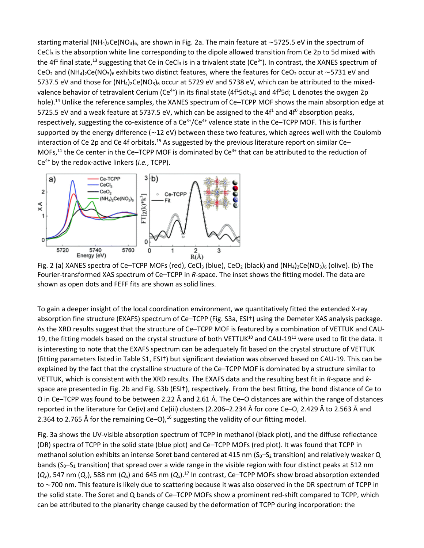starting material (NH<sub>4</sub>)<sub>2</sub>Ce(NO<sub>3</sub>)<sub>6</sub>, are shown in Fig. 2a. The main feature at ∼5725.5 eV in the spectrum of CeCl<sub>3</sub> is the absorption white line corresponding to the dipole allowed transition from Ce 2p to 5d mixed with the 4f<sup>1</sup> final state,<sup>13</sup> suggesting that Ce in CeCl<sub>3</sub> is in a trivalent state (Ce<sup>3+</sup>). In contrast, the XANES spectrum of CeO<sub>2</sub> and (NH<sub>4</sub>)<sub>2</sub>Ce(NO<sub>3</sub>)<sub>6</sub> exhibits two distinct features, where the features for CeO<sub>2</sub> occur at ~5731 eV and 5737.5 eV and those for  $(NH_4)_2$ Ce(NO<sub>3</sub>)<sub>6</sub> occur at 5729 eV and 5738 eV, which can be attributed to the mixedvalence behavior of tetravalent Cerium (Ce<sup>4+</sup>) in its final state (4f<sup>1</sup>5dt<sub>2g</sub>L and 4f<sup>0</sup>5d; L denotes the oxygen 2p hole).<sup>14</sup> Unlike the reference samples, the XANES spectrum of Ce–TCPP MOF shows the main absorption edge at 5725.5 eV and a weak feature at 5737.5 eV, which can be assigned to the  $4f<sup>1</sup>$  and  $4f<sup>0</sup>$  absorption peaks, respectively, suggesting the co-existence of a Ce<sup>3+</sup>/Ce<sup>4+</sup> valence state in the Ce–TCPP MOF. This is further supported by the energy difference (∼12 eV) between these two features, which agrees well with the Coulomb interaction of Ce 2p and Ce 4f orbitals.<sup>15</sup> As suggested by the previous literature report on similar Ce-MOFs, $^{11}$  the Ce center in the Ce–TCPP MOF is dominated by Ce<sup>3+</sup> that can be attributed to the reduction of Ce4+ by the redox-active linkers (*i.e.*, TCPP).



Fig. 2 (a) XANES spectra of Ce–TCPP MOFs (red), CeCl<sub>3</sub> (blue), CeO<sub>2</sub> (black) and (NH<sub>4</sub>)<sub>2</sub>Ce(NO<sub>3</sub>)<sub>6</sub> (olive). (b) The Fourier-transformed XAS spectrum of Ce–TCPP in *R*-space. The inset shows the fitting model. The data are shown as open dots and FEFF fits are shown as solid lines.

To gain a deeper insight of the local coordination environment, we quantitatively fitted the extended X-ray absorption fine structure (EXAFS) spectrum of Ce–TCPP (Fig. S3a, ESI†) using the Demeter XAS analysis package. As the XRD results suggest that the structure of Ce–TCPP MOF is featured by a combination of VETTUK and CAU-19, the fitting models based on the crystal structure of both VETTUK $^{10}$  and CAU-19<sup>11</sup> were used to fit the data. It is interesting to note that the EXAFS spectrum can be adequately fit based on the crystal structure of VETTUK (fitting parameters listed in Table S1, ESI†) but significant deviation was observed based on CAU-19. This can be explained by the fact that the crystalline structure of the Ce–TCPP MOF is dominated by a structure similar to VETTUK, which is consistent with the XRD results. The EXAFS data and the resulting best fit in *R*-space and *k*space are presented in Fig. 2b and Fig. S3b (ESI†), respectively. From the best fitting, the bond distance of Ce to O in Ce–TCPP was found to be between 2.22 Å and 2.61 Å. The Ce–O distances are within the range of distances reported in the literature for Ce(iv) and Ce(iii) clusters (2.206–2.234 Å for core Ce–O, 2.429 Å to 2.563 Å and 2.364 to 2.765 Å for the remaining Ce–O), $^{16}$  suggesting the validity of our fitting model.

Fig. 3a shows the UV-visible absorption spectrum of TCPP in methanol (black plot), and the diffuse reflectance (DR) spectra of TCPP in the solid state (blue plot) and Ce–TCPP MOFs (red plot). It was found that TCPP in methanol solution exhibits an intense Soret band centered at 415 nm ( $S_0-S_2$  transition) and relatively weaker Q bands ( $S_0-S_1$  transition) that spread over a wide range in the visible region with four distinct peaks at 512 nm  $(Q_y)$ , 547 nm  $(Q_y)$ , 588 nm  $(Q_x)$  and 645 nm  $(Q_x)$ .<sup>17</sup> In contrast, Ce–TCPP MOFs show broad absorption extended to ∼700 nm. This feature is likely due to scattering because it was also observed in the DR spectrum of TCPP in the solid state. The Soret and Q bands of Ce–TCPP MOFs show a prominent red-shift compared to TCPP, which can be attributed to the planarity change caused by the deformation of TCPP during incorporation: the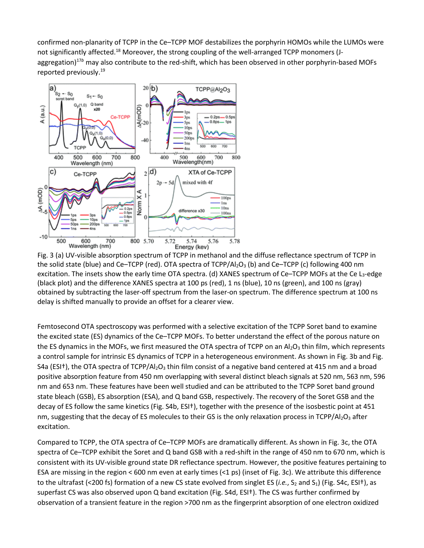confirmed non-planarity of TCPP in the Ce–TCPP MOF destabilizes the porphyrin HOMOs while the LUMOs were not significantly affected.<sup>18</sup> Moreover, the strong coupling of the well-arranged TCPP monomers (Jaggregation)<sup>17b</sup> may also contribute to the red-shift, which has been observed in other porphyrin-based MOFs reported previously.19



Fig. 3 (a) UV-visible absorption spectrum of TCPP in methanol and the diffuse reflectance spectrum of TCPP in the solid state (blue) and Ce–TCPP (red). OTA spectra of TCPP/Al<sub>2</sub>O<sub>3</sub> (b) and Ce–TCPP (c) following 400 nm excitation. The insets show the early time OTA spectra. (d) XANES spectrum of Ce–TCPP MOFs at the Ce L<sub>3</sub>-edge (black plot) and the difference XANES spectra at 100 ps (red), 1 ns (blue), 10 ns (green), and 100 ns (gray) obtained by subtracting the laser-off spectrum from the laser-on spectrum. The difference spectrum at 100 ns delay is shifted manually to provide an offset for a clearer view.

Femtosecond OTA spectroscopy was performed with a selective excitation of the TCPP Soret band to examine the excited state (ES) dynamics of the Ce–TCPP MOFs. To better understand the effect of the porous nature on the ES dynamics in the MOFs, we first measured the OTA spectra of TCPP on an  $Al_2O_3$  thin film, which represents a control sample for intrinsic ES dynamics of TCPP in a heterogeneous environment. As shown in Fig. 3b and Fig. S4a (ESI<sup>†</sup>), the OTA spectra of TCPP/Al<sub>2</sub>O<sub>3</sub> thin film consist of a negative band centered at 415 nm and a broad positive absorption feature from 450 nm overlapping with several distinct bleach signals at 520 nm, 563 nm, 596 nm and 653 nm. These features have been well studied and can be attributed to the TCPP Soret band ground state bleach (GSB), ES absorption (ESA), and Q band GSB, respectively. The recovery of the Soret GSB and the decay of ES follow the same kinetics (Fig. S4b, ESI†), together with the presence of the isosbestic point at 451 nm, suggesting that the decay of ES molecules to their GS is the only relaxation process in TCPP/Al2O<sub>3</sub> after excitation.

Compared to TCPP, the OTA spectra of Ce–TCPP MOFs are dramatically different. As shown in Fig. 3c, the OTA spectra of Ce–TCPP exhibit the Soret and Q band GSB with a red-shift in the range of 450 nm to 670 nm, which is consistent with its UV-visible ground state DR reflectance spectrum. However, the positive features pertaining to ESA are missing in the region < 600 nm even at early times (<1 ps) (inset of Fig. 3c). We attribute this difference to the ultrafast (<200 fs) formation of a new CS state evolved from singlet ES (*i.e.*,  $S_2$  and  $S_1$ ) (Fig. S4c, ESI<sup>†</sup>), as superfast CS was also observed upon Q band excitation (Fig. S4d, ESI†). The CS was further confirmed by observation of a transient feature in the region >700 nm as the fingerprint absorption of one electron oxidized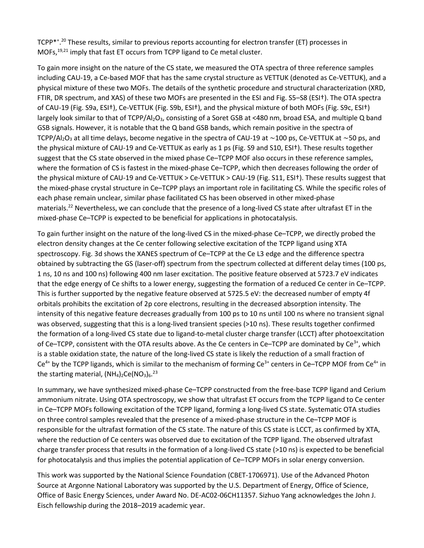TCPP<sup>\*+</sup>.<sup>20</sup> These results, similar to previous reports accounting for electron transfer (ET) processes in MOFs,<sup>19,21</sup> imply that fast ET occurs from TCPP ligand to Ce metal cluster.

To gain more insight on the nature of the CS state, we measured the OTA spectra of three reference samples including CAU-19, a Ce-based MOF that has the same crystal structure as VETTUK (denoted as Ce-VETTUK), and a physical mixture of these two MOFs. The details of the synthetic procedure and structural characterization (XRD, FTIR, DR spectrum, and XAS) of these two MOFs are presented in the ESI and Fig. S5–S8 (ESI†). The OTA spectra of CAU-19 (Fig. S9a, ESI†), Ce-VETTUK (Fig. S9b, ESI†), and the physical mixture of both MOFs (Fig. S9c, ESI†) largely look similar to that of TCPP/Al<sub>2</sub>O<sub>3</sub>, consisting of a Soret GSB at <480 nm, broad ESA, and multiple Q band GSB signals. However, it is notable that the Q band GSB bands, which remain positive in the spectra of TCPP/Al<sub>2</sub>O<sub>3</sub> at all time delays, become negative in the spectra of CAU-19 at ~100 ps, Ce-VETTUK at ~50 ps, and the physical mixture of CAU-19 and Ce-VETTUK as early as 1 ps (Fig. S9 and S10, ESI†). These results together suggest that the CS state observed in the mixed phase Ce–TCPP MOF also occurs in these reference samples, where the formation of CS is fastest in the mixed-phase Ce–TCPP, which then decreases following the order of the physical mixture of CAU-19 and Ce-VETTUK > Ce-VETTUK > CAU-19 (Fig. S11, ESI†). These results suggest that the mixed-phase crystal structure in Ce–TCPP plays an important role in facilitating CS. While the specific roles of each phase remain unclear, similar phase facilitated CS has been observed in other mixed-phase materials.<sup>22</sup> Nevertheless, we can conclude that the presence of a long-lived CS state after ultrafast ET in the mixed-phase Ce–TCPP is expected to be beneficial for applications in photocatalysis.

To gain further insight on the nature of the long-lived CS in the mixed-phase Ce–TCPP, we directly probed the electron density changes at the Ce center following selective excitation of the TCPP ligand using XTA spectroscopy. Fig. 3d shows the XANES spectrum of Ce–TCPP at the Ce L3 edge and the difference spectra obtained by subtracting the GS (laser-off) spectrum from the spectrum collected at different delay times (100 ps, 1 ns, 10 ns and 100 ns) following 400 nm laser excitation. The positive feature observed at 5723.7 eV indicates that the edge energy of Ce shifts to a lower energy, suggesting the formation of a reduced Ce center in Ce–TCPP. This is further supported by the negative feature observed at 5725.5 eV: the decreased number of empty 4f orbitals prohibits the excitation of 2p core electrons, resulting in the decreased absorption intensity. The intensity of this negative feature decreases gradually from 100 ps to 10 ns until 100 ns where no transient signal was observed, suggesting that this is a long-lived transient species (>10 ns). These results together confirmed the formation of a long-lived CS state due to ligand-to-metal cluster charge transfer (LCCT) after photoexcitation of Ce–TCPP, consistent with the OTA results above. As the Ce centers in Ce–TCPP are dominated by Ce<sup>3+</sup>, which is a stable oxidation state, the nature of the long-lived CS state is likely the reduction of a small fraction of  $Ce<sup>4+</sup>$  by the TCPP ligands, which is similar to the mechanism of forming  $Ce<sup>3+</sup>$  centers in Ce–TCPP MOF from Ce<sup>4+</sup> in the starting material,  $(NH_4)_2$ Ce(NO<sub>3</sub>)<sub>6</sub>.<sup>23</sup>

In summary, we have synthesized mixed-phase Ce–TCPP constructed from the free-base TCPP ligand and Cerium ammonium nitrate. Using OTA spectroscopy, we show that ultrafast ET occurs from the TCPP ligand to Ce center in Ce–TCPP MOFs following excitation of the TCPP ligand, forming a long-lived CS state. Systematic OTA studies on three control samples revealed that the presence of a mixed-phase structure in the Ce–TCPP MOF is responsible for the ultrafast formation of the CS state. The nature of this CS state is LCCT, as confirmed by XTA, where the reduction of Ce centers was observed due to excitation of the TCPP ligand. The observed ultrafast charge transfer process that results in the formation of a long-lived CS state (>10 ns) is expected to be beneficial for photocatalysis and thus implies the potential application of Ce–TCPP MOFs in solar energy conversion.

This work was supported by the National Science Foundation (CBET-1706971). Use of the Advanced Photon Source at Argonne National Laboratory was supported by the U.S. Department of Energy, Office of Science, Office of Basic Energy Sciences, under Award No. DE-AC02-06CH11357. Sizhuo Yang acknowledges the John J. Eisch fellowship during the 2018–2019 academic year.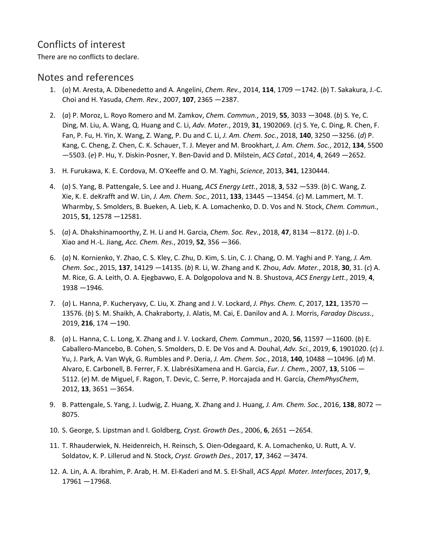## Conflicts of interest

There are no conflicts to declare.

### Notes and references

- 1. (*a*) M. Aresta, A. Dibenedetto and A. Angelini, *Chem. Rev.*, 2014, **114**, 1709 —1742. (*b*) T. Sakakura, J.-C. Choi and H. Yasuda, *Chem. Rev.*, 2007, **107**, 2365 —2387.
- 2. (*a*) P. Moroz, L. Royo Romero and M. Zamkov, *Chem. Commun.*, 2019, **55**, 3033 —3048. (*b*) S. Ye, C. Ding, M. Liu, A. Wang, Q. Huang and C. Li, *Adv. Mater.*, 2019, **31**, 1902069. (*c*) S. Ye, C. Ding, R. Chen, F. Fan, P. Fu, H. Yin, X. Wang, Z. Wang, P. Du and C. Li, *J. Am. Chem. Soc.*, 2018, **140**, 3250 —3256. (*d*) P. Kang, C. Cheng, Z. Chen, C. K. Schauer, T. J. Meyer and M. Brookhart, *J. Am. Chem. Soc.*, 2012, **134**, 5500 —5503. (*e*) P. Hu, Y. Diskin-Posner, Y. Ben-David and D. Milstein, *ACS Catal.*, 2014, **4**, 2649 —2652.
- 3. H. Furukawa, K. E. Cordova, M. O'Keeffe and O. M. Yaghi, *Science*, 2013, **341**, 1230444.
- 4. (*a*) S. Yang, B. Pattengale, S. Lee and J. Huang, *ACS Energy Lett.*, 2018, **3**, 532 —539. (*b*) C. Wang, Z. Xie, K. E. deKrafft and W. Lin, *J. Am. Chem. Soc.*, 2011, **133**, 13445 —13454. (*c*) M. Lammert, M. T. Wharmby, S. Smolders, B. Bueken, A. Lieb, K. A. Lomachenko, D. D. Vos and N. Stock, *Chem. Commun.*, 2015, **51**, 12578 —12581.
- 5. (*a*) A. Dhakshinamoorthy, Z. H. Li and H. Garcia, *Chem. Soc. Rev.*, 2018, **47**, 8134 —8172. (*b*) J.-D. Xiao and H.-L. Jiang, *Acc. Chem. Res.*, 2019, **52**, 356 —366.
- 6. (*a*) N. Kornienko, Y. Zhao, C. S. Kley, C. Zhu, D. Kim, S. Lin, C. J. Chang, O. M. Yaghi and P. Yang, *J. Am. Chem. Soc.*, 2015, **137**, 14129 —14135. (*b*) R. Li, W. Zhang and K. Zhou, *Adv. Mater.*, 2018, **30**, 31. (*c*) A. M. Rice, G. A. Leith, O. A. Ejegbavwo, E. A. Dolgopolova and N. B. Shustova, *ACS Energy Lett.*, 2019, **4**, 1938 —1946.
- 7. (*a*) L. Hanna, P. Kucheryavy, C. Liu, X. Zhang and J. V. Lockard, *J. Phys. Chem. C*, 2017, **121**, 13570 13576. (*b*) S. M. Shaikh, A. Chakraborty, J. Alatis, M. Cai, E. Danilov and A. J. Morris, *Faraday Discuss.*, 2019, **216**, 174 —190.
- 8. (*a*) L. Hanna, C. L. Long, X. Zhang and J. V. Lockard, *Chem. Commun.*, 2020, **56**, 11597 —11600. (*b*) E. Caballero-Mancebo, B. Cohen, S. Smolders, D. E. De Vos and A. Douhal, *Adv. Sci.*, 2019, **6**, 1901020. (*c*) J. Yu, J. Park, A. Van Wyk, G. Rumbles and P. Deria, *J. Am. Chem. Soc.*, 2018, **140**, 10488 —10496. (*d*) M. Alvaro, E. Carbonell, B. Ferrer, F. X. LlabrésiXamena and H. Garcia, *Eur. J. Chem.*, 2007, **13**, 5106 — 5112. (*e*) M. de Miguel, F. Ragon, T. Devic, C. Serre, P. Horcajada and H. García, *ChemPhysChem*, 2012, **13**, 3651 —3654.
- 9. B. Pattengale, S. Yang, J. Ludwig, Z. Huang, X. Zhang and J. Huang, *J. Am. Chem. Soc.*, 2016, **138**, 8072 8075.
- 10. S. George, S. Lipstman and I. Goldberg, *Cryst. Growth Des.*, 2006, **6**, 2651 —2654.
- 11. T. Rhauderwiek, N. Heidenreich, H. Reinsch, S. Oien-Odegaard, K. A. Lomachenko, U. Rutt, A. V. Soldatov, K. P. Lillerud and N. Stock, *Cryst. Growth Des.*, 2017, **17**, 3462 —3474.
- 12. A. Lin, A. A. Ibrahim, P. Arab, H. M. El-Kaderi and M. S. El-Shall, *ACS Appl. Mater. Interfaces*, 2017, **9**, 17961 —17968.